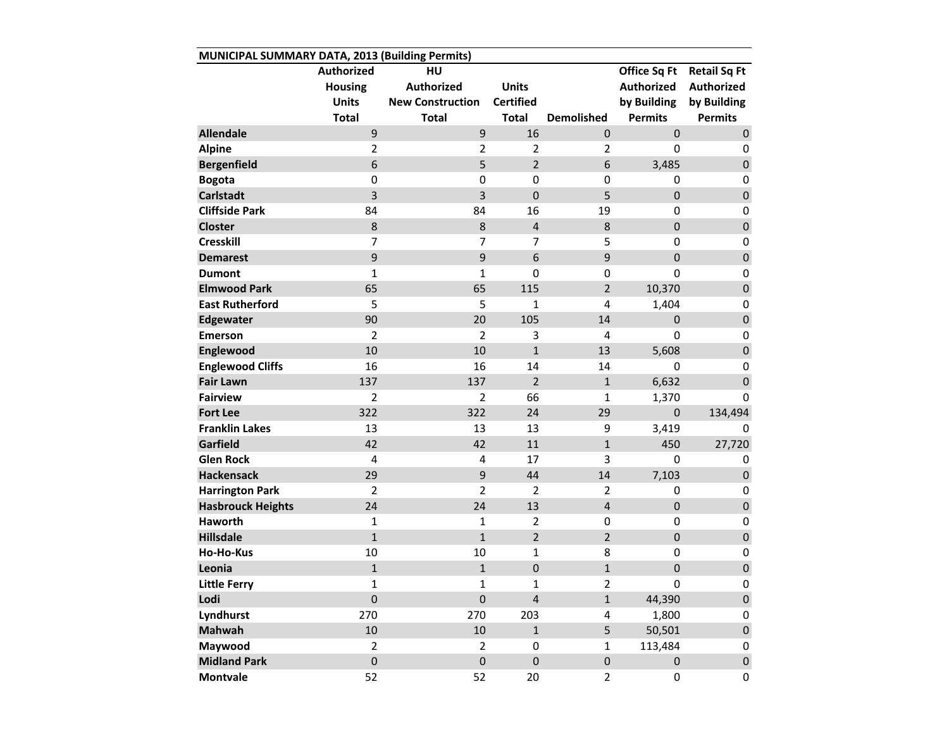|                          | <b>Authorized</b> | HU                      |                  |                         | Office Sq Ft      | <b>Retail Sq Ft</b> |
|--------------------------|-------------------|-------------------------|------------------|-------------------------|-------------------|---------------------|
|                          | <b>Housing</b>    | <b>Authorized</b>       | <b>Units</b>     |                         | <b>Authorized</b> | <b>Authorized</b>   |
|                          | <b>Units</b>      | <b>New Construction</b> | <b>Certified</b> |                         | by Building       | by Building         |
|                          | <b>Total</b>      | <b>Total</b>            | <b>Total</b>     | <b>Demolished</b>       | <b>Permits</b>    | <b>Permits</b>      |
| <b>Allendale</b>         | 9                 | 9                       | 16               | $\mathbf 0$             | $\mathbf 0$       | $\pmb{0}$           |
| <b>Alpine</b>            | 2                 | $\overline{2}$          | $\overline{2}$   | 2                       | $\Omega$          | 0                   |
| <b>Bergenfield</b>       | 6                 | 5                       | $\overline{2}$   | 6                       | 3,485             | $\pmb{0}$           |
| <b>Bogota</b>            | $\mathbf 0$       | $\boldsymbol{0}$        | $\mathbf 0$      | $\mathbf 0$             | $\boldsymbol{0}$  | $\pmb{0}$           |
| <b>Carlstadt</b>         | 3                 | $\overline{3}$          | $\mathbf 0$      | 5                       | $\mathbf 0$       | $\mathbf 0$         |
| <b>Cliffside Park</b>    | 84                | 84                      | 16               | 19                      | 0                 | $\pmb{0}$           |
| <b>Closter</b>           | 8                 | 8                       | $\overline{4}$   | 8                       | $\mathbf 0$       | $\pmb{0}$           |
| <b>Cresskill</b>         | 7                 | 7                       | 7                | 5                       | $\mathbf 0$       | $\pmb{0}$           |
| <b>Demarest</b>          | 9                 | 9                       | $6\phantom{1}$   | 9                       | $\overline{0}$    | $\pmb{0}$           |
| <b>Dumont</b>            | 1                 | $\mathbf{1}$            | $\mathbf 0$      | $\mathbf 0$             | $\mathbf 0$       | $\pmb{0}$           |
| <b>Elmwood Park</b>      | 65                | 65                      | 115              | $\overline{2}$          | 10,370            | $\pmb{0}$           |
| <b>East Rutherford</b>   | 5                 | 5                       | $\mathbf{1}$     | $\overline{4}$          | 1,404             | $\pmb{0}$           |
| <b>Edgewater</b>         | 90                | 20                      | 105              | 14                      | $\mathbf{0}$      | $\pmb{0}$           |
| <b>Emerson</b>           | $\overline{2}$    | $\overline{2}$          | 3                | 4                       | $\mathbf 0$       | $\pmb{0}$           |
| Englewood                | 10                | 10                      | $\mathbf{1}$     | 13                      | 5,608             | $\pmb{0}$           |
| <b>Englewood Cliffs</b>  | 16                | 16                      | 14               | 14                      | $\boldsymbol{0}$  | $\pmb{0}$           |
| <b>Fair Lawn</b>         | 137               | 137                     | $\overline{2}$   | $\mathbf{1}$            | 6,632             | $\pmb{0}$           |
| <b>Fairview</b>          | $\overline{2}$    | $\overline{2}$          | 66               | 1                       | 1,370             | 0                   |
| <b>Fort Lee</b>          | 322               | 322                     | 24               | 29                      | $\mathbf 0$       | 134,494             |
| <b>Franklin Lakes</b>    | 13                | 13                      | 13               | 9                       | 3,419             | 0                   |
| Garfield                 | 42                | 42                      | 11               | $\mathbf{1}$            | 450               | 27,720              |
| <b>Glen Rock</b>         | 4                 | 4                       | 17               | 3                       | $\mathbf 0$       | 0                   |
| <b>Hackensack</b>        | 29                | 9                       | 44               | 14                      | 7,103             | $\pmb{0}$           |
| <b>Harrington Park</b>   | $\overline{2}$    | $\overline{2}$          | $\overline{2}$   | $\overline{2}$          | $\mathbf 0$       | 0                   |
| <b>Hasbrouck Heights</b> | 24                | 24                      | 13               | $\overline{4}$          | $\mathbf 0$       | $\pmb{0}$           |
| Haworth                  | 1                 | $\mathbf{1}$            | $\overline{2}$   | 0                       | $\boldsymbol{0}$  | $\pmb{0}$           |
| <b>Hillsdale</b>         | $\overline{1}$    | $\mathbf{1}$            | $\overline{2}$   | $\overline{2}$          | $\mathbf 0$       | $\pmb{0}$           |
| Ho-Ho-Kus                | 10                | 10                      | $\mathbf{1}$     | 8                       | $\boldsymbol{0}$  | $\pmb{0}$           |
| Leonia                   | $\overline{1}$    | $\mathbf 1$             | $\mathbf 0$      | $\mathbf{1}$            | $\boldsymbol{0}$  | $\pmb{0}$           |
| <b>Little Ferry</b>      | 1                 | 1                       | $\mathbf{1}$     | $\overline{\mathbf{c}}$ | $\mathbf 0$       | $\mathbf 0$         |
| Lodi                     | $\boldsymbol{0}$  | $\boldsymbol{0}$        | $\overline{4}$   | $\mathbf{1}$            | 44,390            | $\pmb{0}$           |
| Lyndhurst                | 270               | 270                     | 203              | 4                       | 1,800             | 0                   |
| <b>Mahwah</b>            | 10                | 10                      | $\mathbf{1}$     | 5                       | 50,501            | $\pmb{0}$           |
| Maywood                  | $\overline{2}$    | $\overline{2}$          | $\pmb{0}$        | $\mathbf{1}$            | 113,484           | 0                   |
| <b>Midland Park</b>      | $\mathbf 0$       | $\mathbf 0$             | $\pmb{0}$        | $\pmb{0}$               | $\boldsymbol{0}$  | $\pmb{0}$           |
| <b>Montvale</b>          | 52                | 52                      | 20               | $\overline{2}$          | $\mathbf 0$       | $\mathbf 0$         |